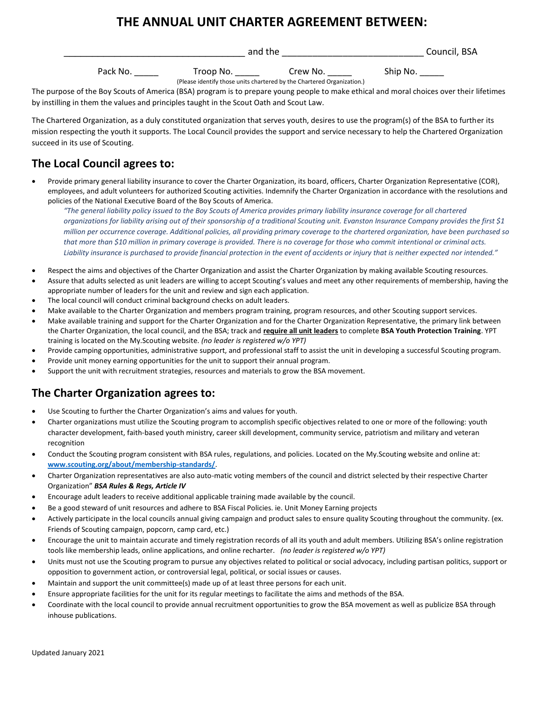# **THE ANNUAL UNIT CHARTER AGREEMENT BETWEEN:**

|          | and the   |          |          | Council, BSA |
|----------|-----------|----------|----------|--------------|
| Pack No. | Troop No. | Crew No. | Ship No. |              |

(Please identify those units chartered by the Chartered Organization.) The purpose of the Boy Scouts of America (BSA) program is to prepare young people to make ethical and moral choices over their lifetimes by instilling in them the values and principles taught in the Scout Oath and Scout Law.

The Chartered Organization, as a duly constituted organization that serves youth, desires to use the program(s) of the BSA to further its mission respecting the youth it supports. The Local Council provides the support and service necessary to help the Chartered Organization succeed in its use of Scouting.

## **The Local Council agrees to:**

• Provide primary general liability insurance to cover the Charter Organization, its board, officers, Charter Organization Representative (COR), employees, and adult volunteers for authorized Scouting activities. Indemnify the Charter Organization in accordance with the resolutions and policies of the National Executive Board of the Boy Scouts of America.

*"The general liability policy issued to the Boy Scouts of America provides primary liability insurance coverage for all chartered organizations for liability arising out of their sponsorship of a traditional Scouting unit. Evanston Insurance Company provides the first \$1 million per occurrence coverage. Additional policies, all providing primary coverage to the chartered organization, have been purchased so that more than \$10 million in primary coverage is provided. There is no coverage for those who commit intentional or criminal acts. Liability insurance is purchased to provide financial protection in the event of accidents or injury that is neither expected nor intended."*

- Respect the aims and objectives of the Charter Organization and assist the Charter Organization by making available Scouting resources.
- Assure that adults selected as unit leaders are willing to accept Scouting's values and meet any other requirements of membership, having the appropriate number of leaders for the unit and review and sign each application.
- The local council will conduct criminal background checks on adult leaders.
- Make available to the Charter Organization and members program training, program resources, and other Scouting support services.
- Make available training and support for the Charter Organization and for the Charter Organization Representative, the primary link between the Charter Organization, the local council, and the BSA; track and **require all unit leaders** to complete **BSA Youth Protection Training**. YPT training is located on the My.Scouting website. *(no leader is registered w/o YPT)*
- Provide camping opportunities, administrative support, and professional staff to assist the unit in developing a successful Scouting program.
- Provide unit money earning opportunities for the unit to support their annual program.
- Support the unit with recruitment strategies, resources and materials to grow the BSA movement.

## **The Charter Organization agrees to:**

- Use Scouting to further the Charter Organization's aims and values for youth.
- Charter organizations must utilize the Scouting program to accomplish specific objectives related to one or more of the following: youth character development, faith-based youth ministry, career skill development, community service, patriotism and military and veteran recognition
- Conduct the Scouting program consistent with BSA rules, regulations, and policies. Located on the My.Scouting website and online at: **[www.scouting.org/about/membership-standards/](http://www.scouting.org/about/membership-standards/)**.
- Charter Organization representatives are also auto-matic voting members of the council and district selected by their respective Charter Organization" *BSA Rules & Regs, Article IV*
- Encourage adult leaders to receive additional applicable training made available by the council.
- Be a good steward of unit resources and adhere to BSA Fiscal Policies. ie. Unit Money Earning projects
- Actively participate in the local councils annual giving campaign and product sales to ensure quality Scouting throughout the community. (ex. Friends of Scouting campaign, popcorn, camp card, etc.)
- Encourage the unit to maintain accurate and timely registration records of all its youth and adult members. Utilizing BSA's online registration tools like membership leads, online applications, and online recharter. *(no leader is registered w/o YPT)*
- Units must not use the Scouting program to pursue any objectives related to political or social advocacy, including partisan politics, support or opposition to government action, or controversial legal, political, or social issues or causes.
- Maintain and support the unit committee(s) made up of at least three persons for each unit.
- Ensure appropriate facilities for the unit for its regular meetings to facilitate the aims and methods of the BSA.
- Coordinate with the local council to provide annual recruitment opportunities to grow the BSA movement as well as publicize BSA through inhouse publications.